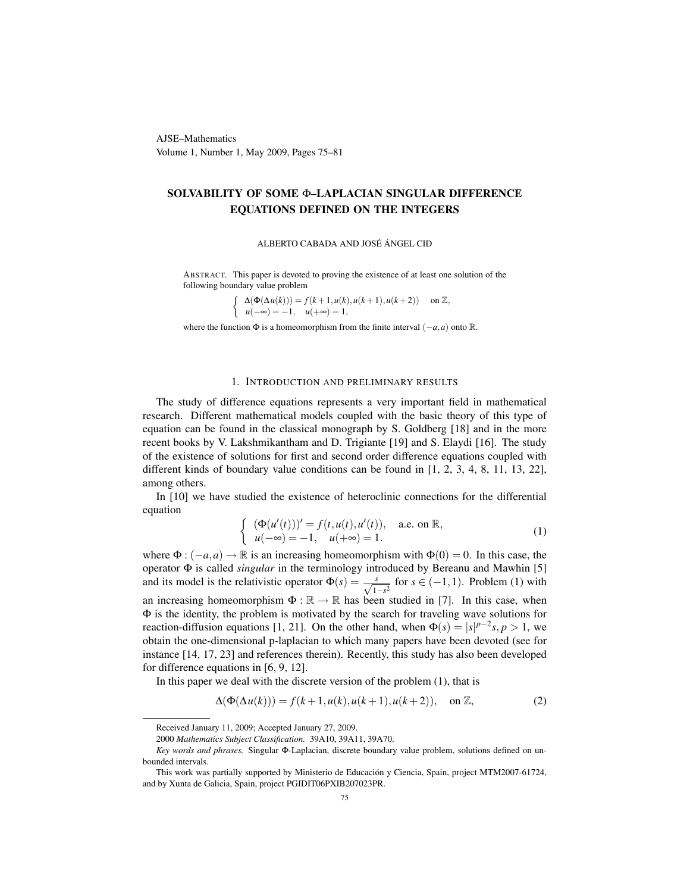AJSE–Mathematics Volume 1, Number 1, May 2009, Pages 75–81

## SOLVABILITY OF SOME Φ–LAPLACIAN SINGULAR DIFFERENCE EQUATIONS DEFINED ON THE INTEGERS

ALBERTO CABADA AND JOSÉ ÁNGEL CID

ABSTRACT. This paper is devoted to proving the existence of at least one solution of the following boundary value problem

$$
\begin{cases} \Delta(\Phi(\Delta u(k))) = f(k+1, u(k), u(k+1), u(k+2)) & \text{on } \mathbb{Z}, \\ u(-\infty) = -1, \quad u(+\infty) = 1, \end{cases}
$$

where the function  $\Phi$  is a homeomorphism from the finite interval  $(-a, a)$  onto R.

#### 1. INTRODUCTION AND PRELIMINARY RESULTS

The study of difference equations represents a very important field in mathematical research. Different mathematical models coupled with the basic theory of this type of equation can be found in the classical monograph by S. Goldberg [18] and in the more recent books by V. Lakshmikantham and D. Trigiante [19] and S. Elaydi [16]. The study of the existence of solutions for first and second order difference equations coupled with different kinds of boundary value conditions can be found in [1, 2, 3, 4, 8, 11, 13, 22], among others.

In [10] we have studied the existence of heteroclinic connections for the differential equation

$$
\begin{cases} (\Phi(u'(t)))' = f(t, u(t), u'(t)), & \text{a.e. on } \mathbb{R}, \\ u(-\infty) = -1, \quad u(+\infty) = 1. \end{cases}
$$
 (1)

where  $\Phi$  :  $(-a,a) \to \mathbb{R}$  is an increasing homeomorphism with  $\Phi(0) = 0$ . In this case, the operator Φ is called *singular* in the terminology introduced by Bereanu and Mawhin [5] and its model is the relativistic operator  $\Phi(s) = \frac{s}{\sqrt{1-s^2}}$  for  $s \in (-1,1)$ . Problem (1) with an increasing homeomorphism  $\Phi : \mathbb{R} \to \mathbb{R}$  has been studied in [7]. In this case, when Φ is the identity, the problem is motivated by the search for traveling wave solutions for reaction-diffusion equations [1, 21]. On the other hand, when  $\Phi(s) = |s|^{p-2} s, p > 1$ , we obtain the one-dimensional p-laplacian to which many papers have been devoted (see for instance [14, 17, 23] and references therein). Recently, this study has also been developed for difference equations in [6, 9, 12].

In this paper we deal with the discrete version of the problem (1), that is

$$
\Delta(\Phi(\Delta u(k))) = f(k+1, u(k), u(k+1), u(k+2)), \quad \text{on } \mathbb{Z}, \tag{2}
$$

Received January 11, 2009; Accepted January 27, 2009.

<sup>2000</sup> *Mathematics Subject Classification.* 39A10, 39A11, 39A70.

*Key words and phrases.* Singular Φ-Laplacian, discrete boundary value problem, solutions defined on unbounded intervals.

This work was partially supported by Ministerio de Educación y Ciencia, Spain, project MTM2007-61724, and by Xunta de Galicia, Spain, project PGIDIT06PXIB207023PR.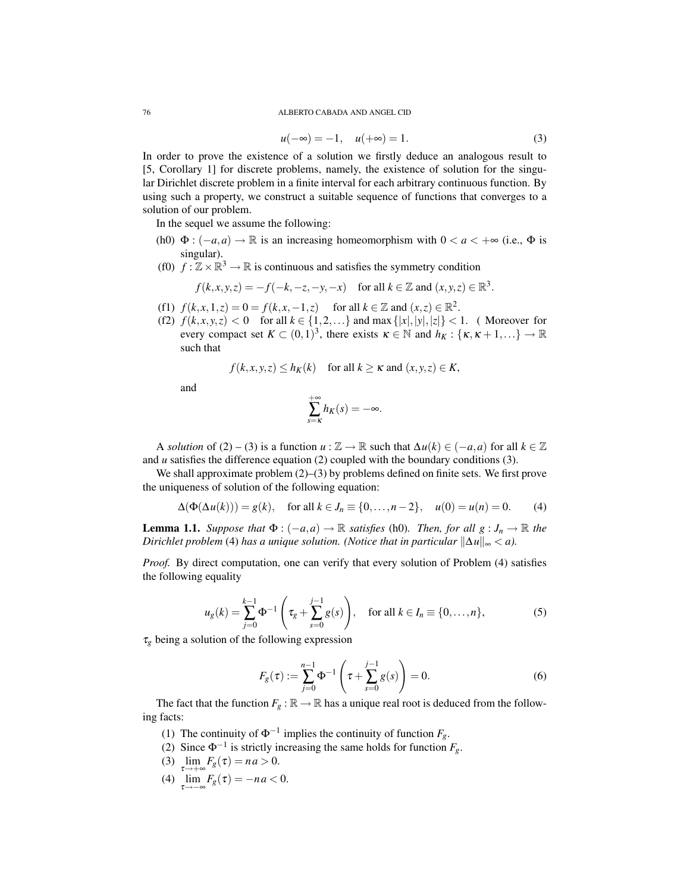#### 76 ALBERTO CABADA AND ANGEL CID

$$
u(-\infty) = -1, \quad u(+\infty) = 1. \tag{3}
$$

In order to prove the existence of a solution we firstly deduce an analogous result to [5, Corollary 1] for discrete problems, namely, the existence of solution for the singular Dirichlet discrete problem in a finite interval for each arbitrary continuous function. By using such a property, we construct a suitable sequence of functions that converges to a solution of our problem.

In the sequel we assume the following:

- (h0)  $\Phi$  : ( $-a$ ,*a*)  $\rightarrow \mathbb{R}$  is an increasing homeomorphism with  $0 < a < +\infty$  (i.e.,  $\Phi$  is singular).
- (f0)  $f : \mathbb{Z} \times \mathbb{R}^3 \to \mathbb{R}$  is continuous and satisfies the symmetry condition

$$
f(k, x, y, z) = -f(-k, -z, -y, -x) \quad \text{for all } k \in \mathbb{Z} \text{ and } (x, y, z) \in \mathbb{R}^3.
$$

- (f1)  $f(k, x, 1, z) = 0 = f(k, x, -1, z)$  for all  $k \in \mathbb{Z}$  and  $(x, z) \in \mathbb{R}^2$ .
- (f2)  $f(k, x, y, z) < 0$  for all  $k \in \{1, 2, ...\}$  and max  $\{|x|, |y|, |z|\} < 1$ . (Moreover for every compact set  $K \subset (0,1)^3$ , there exists  $\kappa \in \mathbb{N}$  and  $h_K : {\kappa, \kappa+1,...} \to \mathbb{R}$ such that

$$
f(k, x, y, z) \le h_K(k)
$$
 for all  $k \ge \kappa$  and  $(x, y, z) \in K$ ,

and

$$
\sum_{s=\kappa}^{+\infty} h_K(s) = -\infty.
$$

A *solution* of (2) – (3) is a function  $u : \mathbb{Z} \to \mathbb{R}$  such that  $\Delta u(k) \in (-a, a)$  for all  $k \in \mathbb{Z}$ and *u* satisfies the difference equation (2) coupled with the boundary conditions (3).

We shall approximate problem  $(2)$ – $(3)$  by problems defined on finite sets. We first prove the uniqueness of solution of the following equation:

$$
\Delta(\Phi(\Delta u(k))) = g(k), \text{ for all } k \in J_n \equiv \{0, ..., n-2\}, \quad u(0) = u(n) = 0. \tag{4}
$$

**Lemma 1.1.** Suppose that  $\Phi$  :  $(-a,a) \to \mathbb{R}$  satisfies (h0). Then, for all  $g : J_n \to \mathbb{R}$  the *Dirichlet problem* (4) *has a unique solution.* (*Notice that in particular*  $\|\Delta u\|_{\infty} < a$ *).* 

*Proof.* By direct computation, one can verify that every solution of Problem (4) satisfies the following equality

$$
u_g(k) = \sum_{j=0}^{k-1} \Phi^{-1} \left( \tau_g + \sum_{s=0}^{j-1} g(s) \right), \quad \text{for all } k \in I_n \equiv \{0, \dots, n\},\tag{5}
$$

 $\tau_g$  being a solution of the following expression

$$
F_g(\tau) := \sum_{j=0}^{n-1} \Phi^{-1} \left( \tau + \sum_{s=0}^{j-1} g(s) \right) = 0.
$$
 (6)

The fact that the function  $F_g : \mathbb{R} \to \mathbb{R}$  has a unique real root is deduced from the following facts:

- (1) The continuity of  $\Phi^{-1}$  implies the continuity of function  $F_g$ .
- (2) Since  $\Phi^{-1}$  is strictly increasing the same holds for function  $F_g$ .
- (3)  $\lim_{s \to \infty} F_g(\tau) = na > 0.$  $\tau \rightarrow +\infty$
- (4)  $\lim_{\tau \to -\infty} F_g(\tau) = -na < 0.$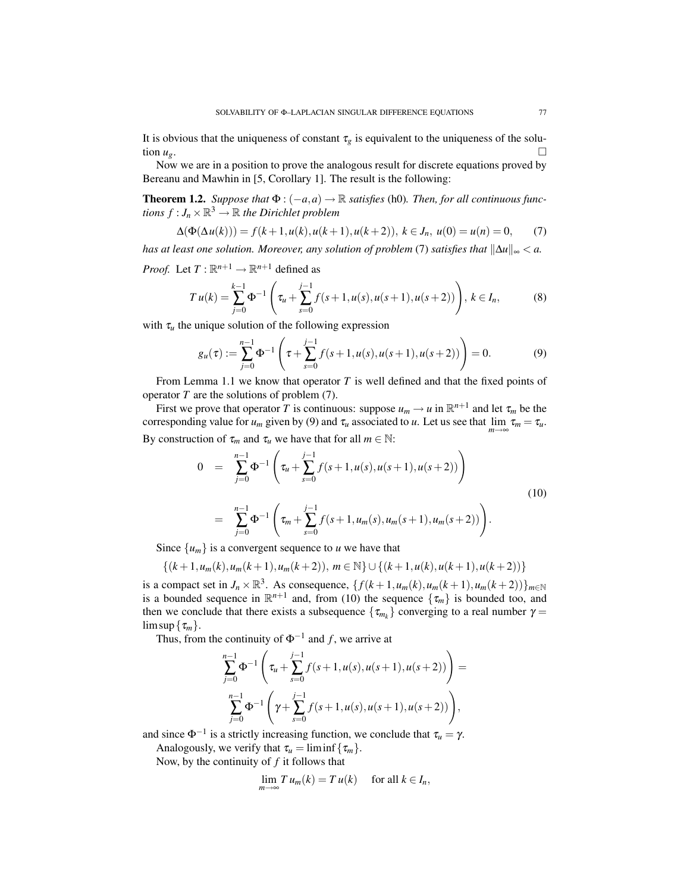It is obvious that the uniqueness of constant  $\tau_g$  is equivalent to the uniqueness of the solution  $u_g$ .

Now we are in a position to prove the analogous result for discrete equations proved by Bereanu and Mawhin in [5, Corollary 1]. The result is the following:

**Theorem 1.2.** *Suppose that*  $\Phi$  :  $(-a, a) \rightarrow \mathbb{R}$  *satisfies* (h0)*. Then, for all continuous functions*  $f: J_n \times \mathbb{R}^3 \to \mathbb{R}$  *the Dirichlet problem* 

$$
\Delta(\Phi(\Delta u(k))) = f(k+1, u(k), u(k+1), u(k+2)), \ k \in J_n, \ u(0) = u(n) = 0,\tag{7}
$$

*has at least one solution. Moreover, any solution of problem* (7) *satisfies that*  $\|\Delta u\|_{\infty} < a$ .

*Proof.* Let  $T: \mathbb{R}^{n+1} \to \mathbb{R}^{n+1}$  defined as

$$
T u(k) = \sum_{j=0}^{k-1} \Phi^{-1} \left( \tau_u + \sum_{s=0}^{j-1} f(s+1, u(s), u(s+1), u(s+2)) \right), k \in I_n,
$$
 (8)

with  $\tau_u$  the unique solution of the following expression

$$
g_u(\tau) := \sum_{j=0}^{n-1} \Phi^{-1} \left( \tau + \sum_{s=0}^{j-1} f(s+1, u(s), u(s+1), u(s+2)) \right) = 0.
$$
 (9)

From Lemma 1.1 we know that operator *T* is well defined and that the fixed points of operator *T* are the solutions of problem (7).

First we prove that operator T is continuous: suppose  $u_m \to u$  in  $\mathbb{R}^{n+1}$  and let  $\tau_m$  be the corresponding value for  $u_m$  given by (9) and  $\tau_u$  associated to *u*. Let us see that  $\lim_{m\to\infty} \tau_m = \tau_u$ . By construction of  $\tau_m$  and  $\tau_u$  we have that for all  $m \in \mathbb{N}$ :

$$
0 = \sum_{j=0}^{n-1} \Phi^{-1} \left( \tau_u + \sum_{s=0}^{j-1} f(s+1, u(s), u(s+1), u(s+2)) \right)
$$
  

$$
= \sum_{j=0}^{n-1} \Phi^{-1} \left( \tau_m + \sum_{s=0}^{j-1} f(s+1, u_m(s), u_m(s+1), u_m(s+2)) \right).
$$
 (10)

Since  $\{u_m\}$  is a convergent sequence to *u* we have that

$$
\{(k+1,u_m(k),u_m(k+1),u_m(k+2)),\,m\in\mathbb{N}\}\cup\{(k+1,u(k),u(k+1),u(k+2))\}
$$

is a compact set in  $J_n \times \mathbb{R}^3$ . As consequence,  $\{f(k+1, u_m(k), u_m(k+1), u_m(k+2))\}_{m \in \mathbb{N}}$ is a bounded sequence in  $\mathbb{R}^{n+1}$  and, from (10) the sequence  $\{\tau_m\}$  is bounded too, and then we conclude that there exists a subsequence  $\{\tau_{m_k}\}$  converging to a real number  $\gamma =$  $\limsup \{\tau_m\}.$ 

Thus, from the continuity of  $\Phi^{-1}$  and *f*, we arrive at

$$
\sum_{j=0}^{n-1} \Phi^{-1}\left(\tau_u + \sum_{s=0}^{j-1} f(s+1, u(s), u(s+1), u(s+2))\right) =
$$
  

$$
\sum_{j=0}^{n-1} \Phi^{-1}\left(\gamma + \sum_{s=0}^{j-1} f(s+1, u(s), u(s+1), u(s+2))\right),
$$

and since  $\Phi^{-1}$  is a strictly increasing function, we conclude that  $\tau_u = \gamma$ .

Analogously, we verify that  $\tau_u = \liminf \{ \tau_m \}.$ 

Now, by the continuity of *f* it follows that

$$
\lim_{m \to \infty} T u_m(k) = T u(k) \quad \text{for all } k \in I_n,
$$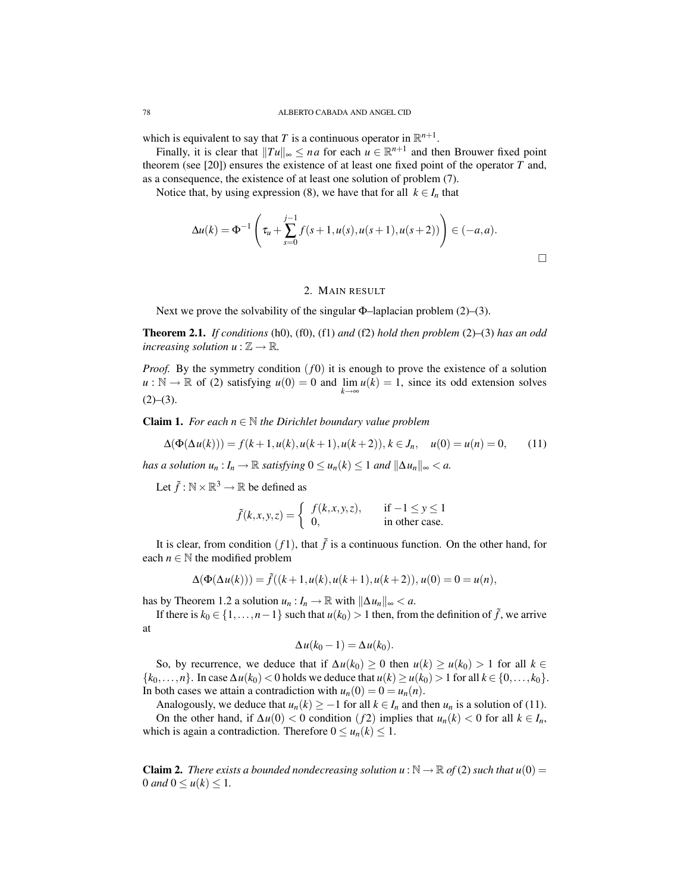which is equivalent to say that *T* is a continuous operator in  $\mathbb{R}^{n+1}$ .

Finally, it is clear that  $||Tu||_{\infty} \le na$  for each  $u \in \mathbb{R}^{n+1}$  and then Brouwer fixed point theorem (see [20]) ensures the existence of at least one fixed point of the operator *T* and, as a consequence, the existence of at least one solution of problem (7).

Notice that, by using expression (8), we have that for all  $k \in I_n$  that

$$
\Delta u(k) = \Phi^{-1}\left(\tau_u + \sum_{s=0}^{j-1} f(s+1, u(s), u(s+1), u(s+2))\right) \in (-a, a).
$$

### 2. MAIN RESULT

Next we prove the solvability of the singular  $\Phi$ –laplacian problem (2)–(3).

Theorem 2.1. *If conditions* (h0), (f0), (f1) *and* (f2) *hold then problem* (2)–(3) *has an odd increasing solution*  $u : \mathbb{Z} \to \mathbb{R}$ .

*Proof.* By the symmetry condition  $(f0)$  it is enough to prove the existence of a solution  $u : \mathbb{N} \to \mathbb{R}$  of (2) satisfying  $u(0) = 0$  and  $\lim_{k \to \infty} u(k) = 1$ , since its odd extension solves  $(2)–(3)$ .

**Claim 1.** *For each*  $n \in \mathbb{N}$  *the Dirichlet boundary value problem* 

$$
\Delta(\Phi(\Delta u(k))) = f(k+1, u(k), u(k+1), u(k+2)), k \in J_n, \quad u(0) = u(n) = 0,\tag{11}
$$

*has a solution*  $u_n: I_n \to \mathbb{R}$  *satisfying*  $0 \le u_n(k) \le 1$  *and*  $\|\Delta u_n\|_{\infty} < a$ .

Let  $\tilde{f}: \mathbb{N} \times \mathbb{R}^3 \to \mathbb{R}$  be defined as

$$
\tilde{f}(k, x, y, z) = \begin{cases} f(k, x, y, z), & \text{if } -1 \le y \le 1 \\ 0, & \text{in other case.} \end{cases}
$$

It is clear, from condition  $(f1)$ , that  $\tilde{f}$  is a continuous function. On the other hand, for each  $n \in \mathbb{N}$  the modified problem

$$
\Delta(\Phi(\Delta u(k))) = \tilde{f}((k+1, u(k), u(k+1), u(k+2)), u(0) = 0 = u(n),
$$

has by Theorem 1.2 a solution  $u_n: I_n \to \mathbb{R}$  with  $\|\Delta u_n\|_{\infty} < a$ .

If there is  $k_0$  ∈ {1,...,*n*−1} such that  $u(k_0) > 1$  then, from the definition of  $\tilde{f}$ , we arrive at

$$
\Delta u(k_0-1)=\Delta u(k_0).
$$

So, by recurrence, we deduce that if  $\Delta u(k_0) \ge 0$  then  $u(k) \ge u(k_0) > 1$  for all  $k \in \Delta$ {*k*0,...,*n*}. In case ∆*u*(*k*0) < 0 holds we deduce that *u*(*k*) ≥ *u*(*k*0) > 1 for all *k* ∈ {0,..., *k*0}. In both cases we attain a contradiction with  $u_n(0) = 0 = u_n(n)$ .

Analogously, we deduce that  $u_n(k) \geq -1$  for all  $k \in I_n$  and then  $u_n$  is a solution of (11). On the other hand, if  $\Delta u(0) < 0$  condition (*f*2) implies that  $u_n(k) < 0$  for all  $k \in I_n$ , which is again a contradiction. Therefore  $0 \le u_n(k) \le 1$ .

**Claim 2.** *There exists a bounded nondecreasing solution u* :  $\mathbb{N} \to \mathbb{R}$  of (2) such that  $u(0) =$ 0 *and*  $0 \le u(k) \le 1$ .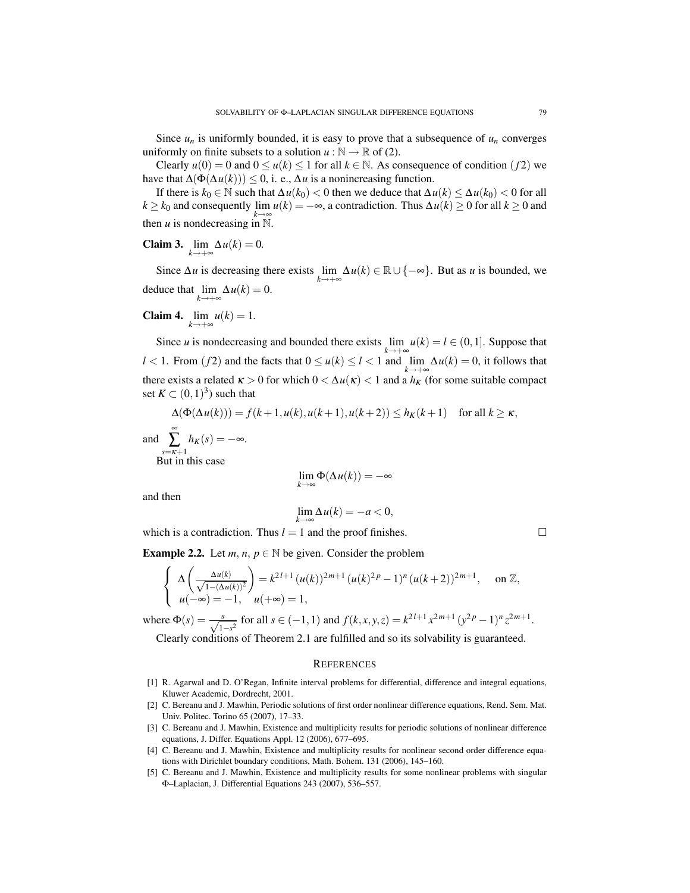Since  $u_n$  is uniformly bounded, it is easy to prove that a subsequence of  $u_n$  converges uniformly on finite subsets to a solution  $u : \mathbb{N} \to \mathbb{R}$  of (2).

Clearly  $u(0) = 0$  and  $0 \le u(k) \le 1$  for all  $k \in \mathbb{N}$ . As consequence of condition (f2) we have that  $\Delta(\Phi(\Delta u(k))) \leq 0$ , i. e.,  $\Delta u$  is a nonincreasing function.

If there is *k*<sup>0</sup> ∈ N such that ∆*u*(*k*0) < 0 then we deduce that ∆*u*(*k*) ≤ ∆*u*(*k*0) < 0 for all *k* ≥ *k*<sub>0</sub> and consequently  $\lim_{h \to 0} u(k) = -\infty$ , a contradiction. Thus  $\Delta u(k) \ge 0$  for all  $k \ge 0$  and then *u* is nondecreasing in  $\mathbb{N}$ .

**Claim 3.**  $\lim_{k \to +\infty} \Delta u(k) = 0$ .

Since  $\Delta u$  is decreasing there exists  $\lim_{k \to +\infty} \Delta u(k) \in \mathbb{R} \cup \{-\infty\}$ . But as *u* is bounded, we deduce that  $\lim_{k \to +\infty} \Delta u(k) = 0$ .

**Claim 4.**  $\lim_{k \to +\infty} u(k) = 1$ .

Since *u* is nondecreasing and bounded there exists  $\lim_{k \to +\infty} u(k) = l \in (0, 1]$ . Suppose that *l* < 1. From (*f* 2) and the facts that  $0 \le u(k) \le l < 1$  and  $\lim_{k \to +\infty} \Delta u(k) = 0$ , it follows that there exists a related  $\kappa > 0$  for which  $0 < \Delta u(\kappa) < 1$  and a  $h_K$  (for some suitable compact set  $K \subset (0,1)^3$  such that

$$
\Delta(\Phi(\Delta u(k))) = f(k+1, u(k), u(k+1), u(k+2)) \le h_K(k+1) \quad \text{for all } k \ge \kappa,
$$
  
and 
$$
\sum_{\substack{s=\kappa+1\\ \text{But in this case}}}^{\infty} h_K(s) = -\infty.
$$
  

$$
\lim_{k \to \infty} \Phi(\Delta u(k)) = -\infty
$$

and then

an

$$
\lim_{k \to \infty} \Delta u(k) = -a < 0,
$$

which is a contradiction. Thus  $l = 1$  and the proof finishes.

**Example 2.2.** Let  $m, n, p \in \mathbb{N}$  be given. Consider the problem

$$
\begin{cases} \Delta \left( \frac{\Delta u(k)}{\sqrt{1 - (\Delta u(k))^2}} \right) = k^{2l+1} (u(k))^{2m+1} (u(k)^{2p} - 1)^n (u(k+2))^{2m+1}, \quad \text{on } \mathbb{Z}, \\ u(-\infty) = -1, \quad u(+\infty) = 1, \end{cases}
$$

where  $\Phi(s) = \frac{s}{\sqrt{1-s^2}}$  for all  $s \in (-1,1)$  and  $f(k, x, y, z) = k^{2l+1} x^{2m+1} (y^{2p} - 1)^n z^{2m+1}$ .

Clearly conditions of Theorem 2.1 are fulfilled and so its solvability is guaranteed.

## **REFERENCES**

- [1] R. Agarwal and D. O'Regan, Infinite interval problems for differential, difference and integral equations, Kluwer Academic, Dordrecht, 2001.
- [2] C. Bereanu and J. Mawhin, Periodic solutions of first order nonlinear difference equations, Rend. Sem. Mat. Univ. Politec. Torino 65 (2007), 17–33.
- [3] C. Bereanu and J. Mawhin, Existence and multiplicity results for periodic solutions of nonlinear difference equations, J. Differ. Equations Appl. 12 (2006), 677–695.
- [4] C. Bereanu and J. Mawhin, Existence and multiplicity results for nonlinear second order difference equations with Dirichlet boundary conditions, Math. Bohem. 131 (2006), 145–160.
- [5] C. Bereanu and J. Mawhin, Existence and multiplicity results for some nonlinear problems with singular Φ–Laplacian, J. Differential Equations 243 (2007), 536–557.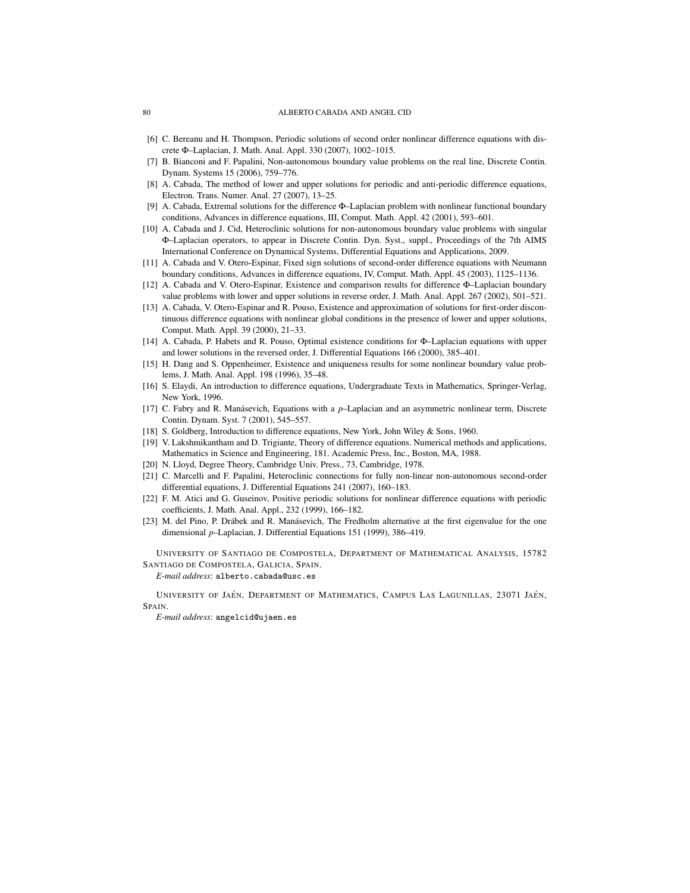#### 80 ALBERTO CABADA AND ANGEL CID

- [6] C. Bereanu and H. Thompson, Periodic solutions of second order nonlinear difference equations with discrete Φ–Laplacian, J. Math. Anal. Appl. 330 (2007), 1002–1015.
- [7] B. Bianconi and F. Papalini, Non-autonomous boundary value problems on the real line, Discrete Contin. Dynam. Systems 15 (2006), 759–776.
- [8] A. Cabada, The method of lower and upper solutions for periodic and anti-periodic difference equations, Electron. Trans. Numer. Anal. 27 (2007), 13–25.
- [9] A. Cabada, Extremal solutions for the difference Φ–Laplacian problem with nonlinear functional boundary conditions, Advances in difference equations, III, Comput. Math. Appl. 42 (2001), 593–601.
- [10] A. Cabada and J. Cid, Heteroclinic solutions for non-autonomous boundary value problems with singular Φ–Laplacian operators, to appear in Discrete Contin. Dyn. Syst., suppl., Proceedings of the 7th AIMS International Conference on Dynamical Systems, Differential Equations and Applications, 2009.
- [11] A. Cabada and V. Otero-Espinar, Fixed sign solutions of second-order difference equations with Neumann boundary conditions, Advances in difference equations, IV, Comput. Math. Appl. 45 (2003), 1125–1136.
- [12] A. Cabada and V. Otero-Espinar, Existence and comparison results for difference Φ-Laplacian boundary value problems with lower and upper solutions in reverse order, J. Math. Anal. Appl. 267 (2002), 501–521.
- [13] A. Cabada, V. Otero-Espinar and R. Pouso, Existence and approximation of solutions for first-order discontinuous difference equations with nonlinear global conditions in the presence of lower and upper solutions, Comput. Math. Appl. 39 (2000), 21–33.
- [14] A. Cabada, P. Habets and R. Pouso, Optimal existence conditions for Φ–Laplacian equations with upper and lower solutions in the reversed order, J. Differential Equations 166 (2000), 385–401.
- [15] H. Dang and S. Oppenheimer, Existence and uniqueness results for some nonlinear boundary value problems, J. Math. Anal. Appl. 198 (1996), 35–48.
- [16] S. Elaydi, An introduction to difference equations, Undergraduate Texts in Mathematics, Springer-Verlag, New York, 1996.
- [17] C. Fabry and R. Manásevich, Equations with a  $p$ –Laplacian and an asymmetric nonlinear term, Discrete Contin. Dynam. Syst. 7 (2001), 545–557.
- [18] S. Goldberg, Introduction to difference equations, New York, John Wiley & Sons, 1960.
- [19] V. Lakshmikantham and D. Trigiante, Theory of difference equations. Numerical methods and applications, Mathematics in Science and Engineering, 181. Academic Press, Inc., Boston, MA, 1988.
- [20] N. Lloyd, Degree Theory, Cambridge Univ. Press., 73, Cambridge, 1978.
- [21] C. Marcelli and F. Papalini, Heteroclinic connections for fully non-linear non-autonomous second-order differential equations, J. Differential Equations 241 (2007), 160–183.
- [22] F. M. Atici and G. Guseinov, Positive periodic solutions for nonlinear difference equations with periodic coefficients, J. Math. Anal. Appl., 232 (1999), 166–182.
- [23] M. del Pino, P. Drábek and R. Manásevich, The Fredholm alternative at the first eigenvalue for the one dimensional *p*–Laplacian, J. Differential Equations 151 (1999), 386–419.

UNIVERSITY OF SANTIAGO DE COMPOSTELA, DEPARTMENT OF MATHEMATICAL ANALYSIS, 15782 SANTIAGO DE COMPOSTELA, GALICIA, SPAIN.

*E-mail address*: alberto.cabada@usc.es

UNIVERSITY OF JAÉN, DEPARTMENT OF MATHEMATICS, CAMPUS LAS LAGUNILLAS, 23071 JAÉN, SPAIN.

*E-mail address*: angelcid@ujaen.es